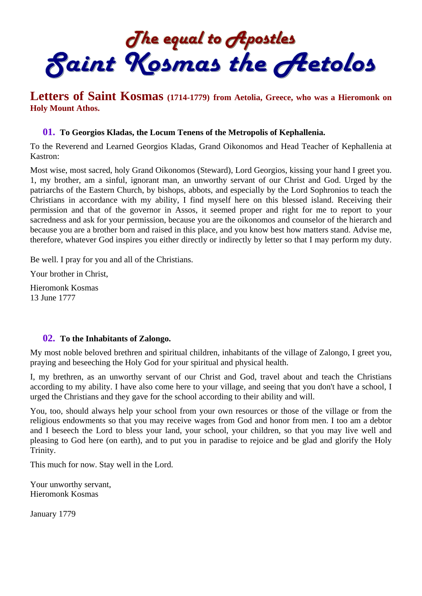The equal to Apostles<br>Saint Kosmas the Aetolos

# **Letters of Saint Kosmas (1714-1779) from Aetolia, Greece, who was a Hieromonk on Holy Mount Athos.**

#### **01. To Georgios Kladas, the Locum Tenens of the Metropolis of Kephallenia.**

To the Reverend and Learned Georgios Kladas, Grand Oikonomos and Head Teacher of Kephallenia at Kastron:

Most wise, most sacred, holy Grand Oikonomos (Steward), Lord Georgios, kissing your hand I greet you. 1, my brother, am a sinful, ignorant man, an unworthy servant of our Christ and God. Urged by the patriarchs of the Eastern Church, by bishops, abbots, and especially by the Lord Sophronios to teach the Christians in accordance with my ability, I find myself here on this blessed island. Receiving their permission and that of the governor in Assos, it seemed proper and right for me to report to your sacredness and ask for your permission, because you are the oikonomos and counselor of the hierarch and because you are a brother born and raised in this place, and you know best how matters stand. Advise me, therefore, whatever God inspires you either directly or indirectly by letter so that I may perform my duty.

Be well. I pray for you and all of the Christians.

Your brother in Christ,

Hieromonk Kosmas 13 June 1777

#### **02. To the Inhabitants of Zalongo.**

My most noble beloved brethren and spiritual children, inhabitants of the village of Zalongo, I greet you, praying and beseeching the Holy God for your spiritual and physical health.

I, my brethren, as an unworthy servant of our Christ and God, travel about and teach the Christians according to my ability. I have also come here to your village, and seeing that you don't have a school, I urged the Christians and they gave for the school according to their ability and will.

You, too, should always help your school from your own resources or those of the village or from the religious endowments so that you may receive wages from God and honor from men. I too am a debtor and I beseech the Lord to bless your land, your school, your children, so that you may live well and pleasing to God here (on earth), and to put you in paradise to rejoice and be glad and glorify the Holy Trinity.

This much for now. Stay well in the Lord.

Your unworthy servant, Hieromonk Kosmas

January 1779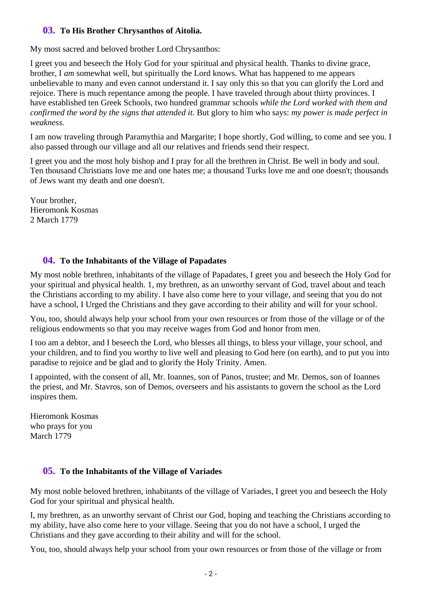#### **03. To His Brother Chrysanthos of Aitolia.**

My most sacred and beloved brother Lord Chrysanthos:

I greet you and beseech the Holy God for your spiritual and physical health. Thanks to divine grace, brother, I *am* somewhat well, but spiritually the Lord knows. What has happened to me appears unbelievable to many and even cannot understand it. I say only this so that you can glorify the Lord and rejoice. There is much repentance among the people. I have traveled through about thirty provinces. I have established ten Greek Schools, two hundred grammar schools *while the Lord worked with them and confirmed the word by the signs that attended it.* But glory to him who says: *my power is made perfect in weakness.* 

I am now traveling through Paramythia and Margarite; I hope shortly, God willing, to come and see you. I also passed through our village and all our relatives and friends send their respect.

I greet you and the most holy bishop and I pray for all the brethren in Christ. Be well in body and soul. Ten thousand Christians love me and one hates me; a thousand Turks love me and one doesn't; thousands of Jews want my death and one doesn't.

Your brother, Hieromonk Kosmas 2 March 1779

### **04. To the Inhabitants of the Village of Papadates**

My most noble brethren, inhabitants of the village of Papadates, I greet you and beseech the Holy God for your spiritual and physical health. 1, my brethren, as an unworthy servant of God, travel about and teach the Christians according to my ability. I have also come here to your village, and seeing that you do not have a school, I Urged the Christians and they gave according to their ability and will for your school.

You, too, should always help your school from your own resources or from those of the village or of the religious endowments so that you may receive wages from God and honor from men.

I too am a debtor, and I beseech the Lord, who blesses all things, to bless your village, your school, and your children, and to find you worthy to live well and pleasing to God here (on earth), and to put you into paradise to rejoice and be glad and to glorify the Holy Trinity. Amen.

I appointed, with the consent of all, Mr. Ioannes, son of Panos, trustee; and Mr. Demos, son of Ioannes the priest, and Mr. Stavros, son of Demos, overseers and his assistants to govern the school as the Lord inspires them.

Hieromonk Kosmas who prays for you March 1779

### **05. To the Inhabitants of the Village of Variades**

My most noble beloved brethren, inhabitants of the village of Variades, I greet you and beseech the Holy God for your spiritual and physical health.

I, my brethren, as an unworthy servant of Christ our God, hoping and teaching the Christians according to my ability, have also come here to your village. Seeing that you do not have a school, I urged the Christians and they gave according to their ability and will for the school.

You, too, should always help your school from your own resources or from those of the village or from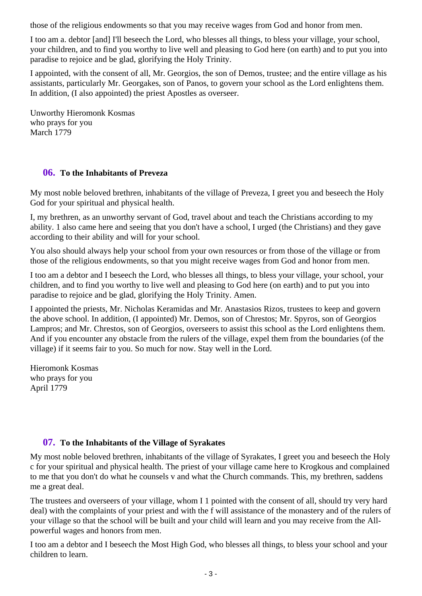those of the religious endowments so that you may receive wages from God and honor from men.

I too am a. debtor [and] I'll beseech the Lord, who blesses all things, to bless your village, your school, your children, and to find you worthy to live well and pleasing to God here (on earth) and to put you into paradise to rejoice and be glad, glorifying the Holy Trinity.

I appointed, with the consent of all, Mr. Georgios, the son of Demos, trustee; and the entire village as his assistants, particularly Mr. Georgakes, son of Panos, to govern your school as the Lord enlightens them. In addition, (I also appointed) the priest Apostles as overseer.

Unworthy Hieromonk Kosmas who prays for you March 1779

#### **06. To the Inhabitants of Preveza**

My most noble beloved brethren, inhabitants of the village of Preveza, I greet you and beseech the Holy God for your spiritual and physical health.

I, my brethren, as an unworthy servant of God, travel about and teach the Christians according to my ability. 1 also came here and seeing that you don't have a school, I urged (the Christians) and they gave according to their ability and will for your school.

You also should always help your school from your own resources or from those of the village or from those of the religious endowments, so that you might receive wages from God and honor from men.

I too am a debtor and I beseech the Lord, who blesses all things, to bless your village, your school, your children, and to find you worthy to live well and pleasing to God here (on earth) and to put you into paradise to rejoice and be glad, glorifying the Holy Trinity. Amen.

I appointed the priests, Mr. Nicholas Keramidas and Mr. Anastasios Rizos, trustees to keep and govern the above school. In addition, (I appointed) Mr. Demos, son of Chrestos; Mr. Spyros, son of Georgios Lampros; and Mr. Chrestos, son of Georgios, overseers to assist this school as the Lord enlightens them. And if you encounter any obstacle from the rulers of the village, expel them from the boundaries (of the village) if it seems fair to you. So much for now. Stay well in the Lord.

Hieromonk Kosmas who prays for you April 1779

### **07. To the Inhabitants of the Village of Syrakates**

My most noble beloved brethren, inhabitants of the village of Syrakates, I greet you and beseech the Holy c for your spiritual and physical health. The priest of your village came here to Krogkous and complained to me that you don't do what he counsels v and what the Church commands. This, my brethren, saddens me a great deal.

The trustees and overseers of your village, whom I 1 pointed with the consent of all, should try very hard deal) with the complaints of your priest and with the f will assistance of the monastery and of the rulers of your village so that the school will be built and your child will learn and you may receive from the Allpowerful wages and honors from men.

I too am a debtor and I beseech the Most High God, who blesses all things, to bless your school and your children to learn.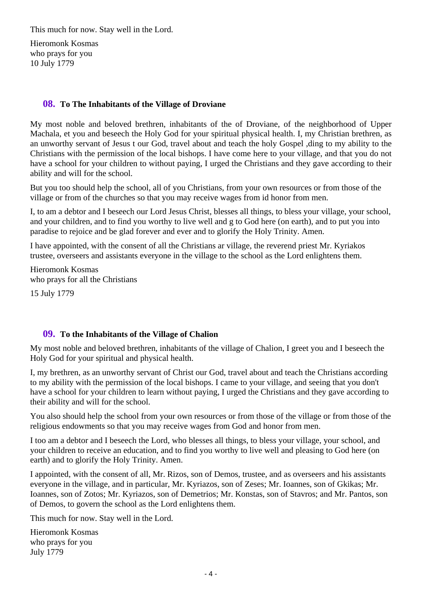This much for now. Stay well in the Lord.

Hieromonk Kosmas who prays for you 10 July 1779

#### **08. To The Inhabitants of the Village of Droviane**

My most noble and beloved brethren, inhabitants of the of Droviane, of the neighborhood of Upper Machala, et you and beseech the Holy God for your spiritual physical health. I, my Christian brethren, as an unworthy servant of Jesus t our God, travel about and teach the holy Gospel ,ding to my ability to the Christians with the permission of the local bishops. I have come here to your village, and that you do not have a school for your children to without paying, I urged the Christians and they gave according to their ability and will for the school.

But you too should help the school, all of you Christians, from your own resources or from those of the village or from of the churches so that you may receive wages from id honor from men.

I, to am a debtor and I beseech our Lord Jesus Christ, blesses all things, to bless your village, your school, and your children, and to find you worthy to live well and g to God here (on earth), and to put you into paradise to rejoice and be glad forever and ever and to glorify the Holy Trinity. Amen.

I have appointed, with the consent of all the Christians ar village, the reverend priest Mr. Kyriakos trustee, overseers and assistants everyone in the village to the school as the Lord enlightens them.

Hieromonk Kosmas who prays for all the Christians 15 July 1779

#### **09. To the Inhabitants of the Village of Chalion**

My most noble and beloved brethren, inhabitants of the village of Chalion, I greet you and I beseech the Holy God for your spiritual and physical health.

I, my brethren, as an unworthy servant of Christ our God, travel about and teach the Christians according to my ability with the permission of the local bishops. I came to your village, and seeing that you don't have a school for your children to learn without paying, I urged the Christians and they gave according to their ability and will for the school.

You also should help the school from your own resources or from those of the village or from those of the religious endowments so that you may receive wages from God and honor from men.

I too am a debtor and I beseech the Lord, who blesses all things, to bless your village, your school, and your children to receive an education, and to find you worthy to live well and pleasing to God here (on earth) and to glorify the Holy Trinity. Amen.

I appointed, with the consent of all, Mr. Rizos, son of Demos, trustee, and as overseers and his assistants everyone in the village, and in particular, Mr. Kyriazos, son of Zeses; Mr. Ioannes, son of Gkikas; Mr. Ioannes, son of Zotos; Mr. Kyriazos, son of Demetrios; Mr. Konstas, son of Stavros; and Mr. Pantos, son of Demos, to govern the school as the Lord enlightens them.

This much for now. Stay well in the Lord.

Hieromonk Kosmas who prays for you July 1779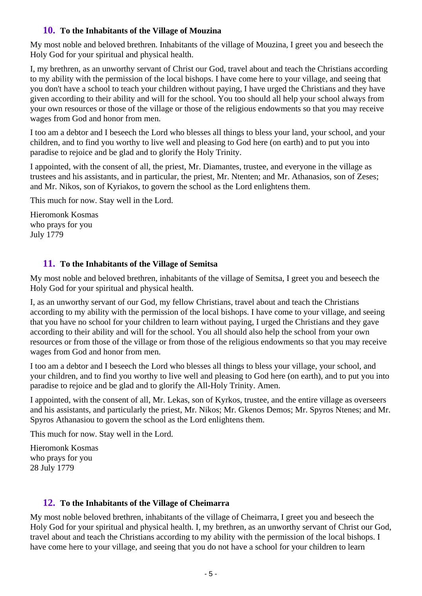#### **10. To the Inhabitants of the Village of Mouzina**

My most noble and beloved brethren. Inhabitants of the village of Mouzina, I greet you and beseech the Holy God for your spiritual and physical health.

I, my brethren, as an unworthy servant of Christ our God, travel about and teach the Christians according to my ability with the permission of the local bishops. I have come here to your village, and seeing that you don't have a school to teach your children without paying, I have urged the Christians and they have given according to their ability and will for the school. You too should all help your school always from your own resources or those of the village or those of the religious endowments so that you may receive wages from God and honor from men.

I too am a debtor and I beseech the Lord who blesses all things to bless your land, your school, and your children, and to find you worthy to live well and pleasing to God here (on earth) and to put you into paradise to rejoice and be glad and to glorify the Holy Trinity.

I appointed, with the consent of all, the priest, Mr. Diamantes, trustee, and everyone in the village as trustees and his assistants, and in particular, the priest, Mr. Ntenten; and Mr. Athanasios, son of Zeses; and Mr. Nikos, son of Kyriakos, to govern the school as the Lord enlightens them.

This much for now. Stay well in the Lord.

Hieromonk Kosmas who prays for you July 1779

### **11. To the Inhabitants of the Village of Semitsa**

My most noble and beloved brethren, inhabitants of the village of Semitsa, I greet you and beseech the Holy God for your spiritual and physical health.

I, as an unworthy servant of our God, my fellow Christians, travel about and teach the Christians according to my ability with the permission of the local bishops. I have come to your village, and seeing that you have no school for your children to learn without paying, I urged the Christians and they gave according to their ability and will for the school. You all should also help the school from your own resources or from those of the village or from those of the religious endowments so that you may receive wages from God and honor from men.

I too am a debtor and I beseech the Lord who blesses all things to bless your village, your school, and your children, and to find you worthy to live well and pleasing to God here (on earth), and to put you into paradise to rejoice and be glad and to glorify the All-Holy Trinity. Amen.

I appointed, with the consent of all, Mr. Lekas, son of Kyrkos, trustee, and the entire village as overseers and his assistants, and particularly the priest, Mr. Nikos; Mr. Gkenos Demos; Mr. Spyros Ntenes; and Mr. Spyros Athanasiou to govern the school as the Lord enlightens them.

This much for now. Stay well in the Lord.

Hieromonk Kosmas who prays for you 28 July 1779

### **12. To the Inhabitants of the Village of Cheimarra**

My most noble beloved brethren, inhabitants of the village of Cheimarra, I greet you and beseech the Holy God for your spiritual and physical health. I, my brethren, as an unworthy servant of Christ our God, travel about and teach the Christians according to my ability with the permission of the local bishops. I have come here to your village, and seeing that you do not have a school for your children to learn